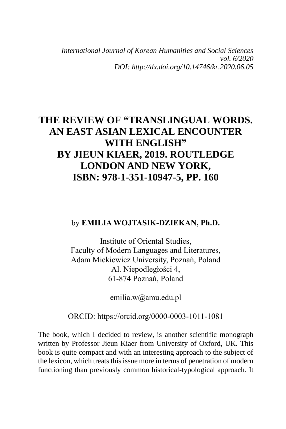*International Journal of Korean Humanities and Social Sciences vol. 6/2020 DOI: http://dx.doi.org/10.14746/kr.2020.06.05*

# **THE REVIEW OF "TRANSLINGUAL WORDS. AN EAST ASIAN LEXICAL ENCOUNTER WITH ENGLISH" BY JIEUN KIAER, 2019. ROUTLEDGE LONDON AND NEW YORK, ISBN: 978-1-351-10947-5, PP. 160**

### by **EMILIA WOJTASIK-DZIEKAN, Ph.D.**

Institute of Oriental Studies, Faculty of Modern Languages and Literatures, Adam Mickiewicz University, Poznań, Poland Al. Niepodległości 4, 61-874 Poznań, Poland

emilia.w@amu.edu.pl

ORCID: https://orcid.org/0000-0003-1011-1081

The book, which I decided to review, is another scientific monograph written by Professor Jieun Kiaer from University of Oxford, UK. This book is quite compact and with an interesting approach to the subject of the lexicon, which treats this issue more in terms of penetration of modern functioning than previously common historical-typological approach. It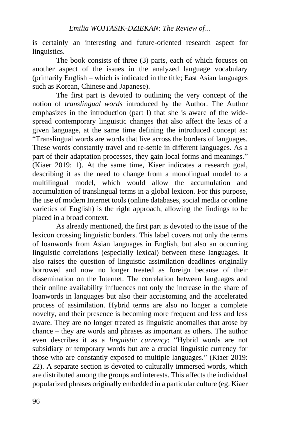is certainly an interesting and future-oriented research aspect for linguistics.

The book consists of three (3) parts, each of which focuses on another aspect of the issues in the analyzed language vocabulary (primarily English – which is indicated in the title; East Asian languages such as Korean, Chinese and Japanese).

The first part is devoted to outlining the very concept of the notion of *translingual words* introduced by the Author. The Author emphasizes in the introduction (part I) that she is aware of the widespread contemporary linguistic changes that also affect the lexis of a given language, at the same time defining the introduced concept as: "Translingual words are words that live across the borders of languages. These words constantly travel and re-settle in different languages. As a part of their adaptation processes, they gain local forms and meanings." (Kiaer 2019: 1). At the same time, Kiaer indicates a research goal, describing it as the need to change from a monolingual model to a multilingual model, which would allow the accumulation and accumulation of translingual terms in a global lexicon. For this purpose, the use of modern Internet tools (online databases, social media or online varieties of English) is the right approach, allowing the findings to be placed in a broad context.

As already mentioned, the first part is devoted to the issue of the lexicon crossing linguistic borders. This label covers not only the terms of loanwords from Asian languages in English, but also an occurring linguistic correlations (especially lexical) between these languages. It also raises the question of linguistic assimilation deadlines originally borrowed and now no longer treated as foreign because of their dissemination on the Internet. The correlation between languages and their online availability influences not only the increase in the share of loanwords in languages but also their accustoming and the accelerated process of assimilation. Hybrid terms are also no longer a complete novelty, and their presence is becoming more frequent and less and less aware. They are no longer treated as linguistic anomalies that arose by chance – they are words and phrases as important as others. The author even describes it as a *linguistic currency*: "Hybrid words are not subsidiary or temporary words but are a crucial linguistic currency for those who are constantly exposed to multiple languages." (Kiaer 2019: 22). A separate section is devoted to culturally immersed words, which are distributed among the groups and interests. This affects the individual popularized phrases originally embedded in a particular culture (eg. Kiaer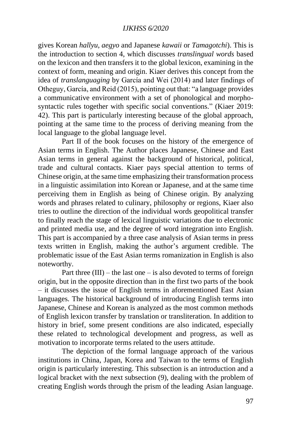#### *IJKHSS 6/2020*

gives Korean *hallyu*, *aegyo* and Japanese *kawaii* or *Tamagotchi*). This is the introduction to section 4, which discusses *translingual words* based on the lexicon and then transfers it to the global lexicon, examining in the context of form, meaning and origin. Kiaer derives this concept from the idea of *translanguaging* by García and Wei (2014) and later findings of Otheguy, García, and Reid (2015), pointing out that: "a language provides a communicative environment with a set of phonological and morphosyntactic rules together with specific social conventions." (Kiaer 2019: 42). This part is particularly interesting because of the global approach, pointing at the same time to the process of deriving meaning from the local language to the global language level.

Part II of the book focuses on the history of the emergence of Asian terms in English. The Author places Japanese, Chinese and East Asian terms in general against the background of historical, political, trade and cultural contacts. Kiaer pays special attention to terms of Chinese origin, at the same time emphasizing their transformation process in a linguistic assimilation into Korean or Japanese, and at the same time perceiving them in English as being of Chinese origin. By analyzing words and phrases related to culinary, philosophy or regions, Kiaer also tries to outline the direction of the individual words geopolitical transfer to finally reach the stage of lexical linguistic variations due to electronic and printed media use, and the degree of word integration into English. This part is accompanied by a three case analysis of Asian terms in press texts written in English, making the author's argument credible. The problematic issue of the East Asian terms romanization in English is also noteworthy.

Part three  $(III)$  – the last one – is also devoted to terms of foreign origin, but in the opposite direction than in the first two parts of the book – it discusses the issue of English terms in aforementioned East Asian languages. The historical background of introducing English terms into Japanese, Chinese and Korean is analyzed as the most common methods of English lexicon transfer by translation or transliteration. In addition to history in brief, some present conditions are also indicated, especially these related to technological development and progress, as well as motivation to incorporate terms related to the users attitude.

The depiction of the formal language approach of the various institutions in China, Japan, Korea and Taiwan to the terms of English origin is particularly interesting. This subsection is an introduction and a logical bracket with the next subsection (9), dealing with the problem of creating English words through the prism of the leading Asian language.